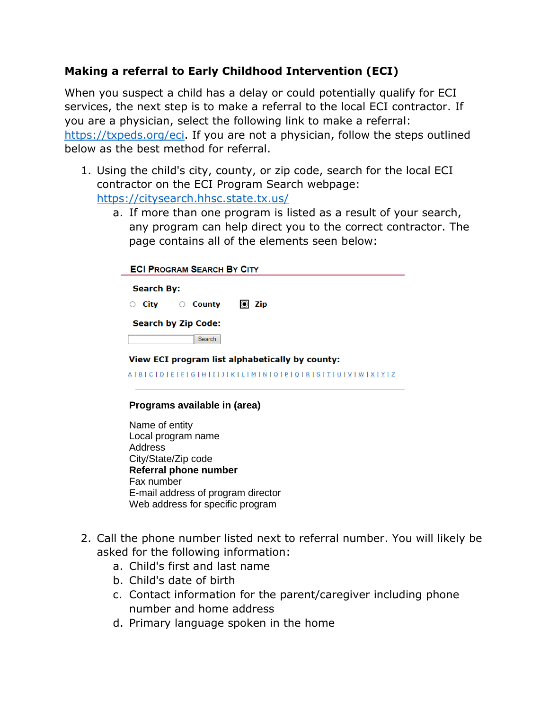## **Making a referral to Early Childhood Intervention (ECI)**

When you suspect a child has a delay or could potentially qualify for ECI services, the next step is to make a referral to the local ECI contractor. If you are a physician, select the following link to make a referral: [https://txpeds.org/eci.](https://txpeds.org/eci) If you are not a physician, follow the steps outlined below as the best method for referral.

- 1. Using the child's city, county, or zip code, search for the local ECI contractor on the ECI Program Search webpage: <https://citysearch.hhsc.state.tx.us/>
	- a. If more than one program is listed as a result of your search, any program can help direct you to the correct contractor. The page contains all of the elements seen below:

| <b>ECI PROGRAM SEARCH BY CITY</b>                                                                             |
|---------------------------------------------------------------------------------------------------------------|
| <b>Search By:</b><br>$\odot$ Zip<br>City<br>$\circ$ County<br>O                                               |
| <b>Search by Zip Code:</b><br>Search                                                                          |
| View ECI program list alphabetically by county:                                                               |
| A   B   C   D   E   F   G   H   I   J   K   L   M   N   O   P   O   R   S   T   U   V   W   X   Y   Z         |
| Programs available in (area)                                                                                  |
| Name of entity<br>Local program name<br>Address<br>City/State/Zip code                                        |
| Referral phone number<br>Fax number<br>E-mail address of program director<br>Web address for specific program |
| he phone number listed next to referral number. You                                                           |

- 2. Call the phone number listed next to referral number. You will likely be asked for the following information:
	- a. Child's first and last name
	- b. Child's date of birth
	- c. Contact information for the parent/caregiver including phone number and home address
	- d. Primary language spoken in the home